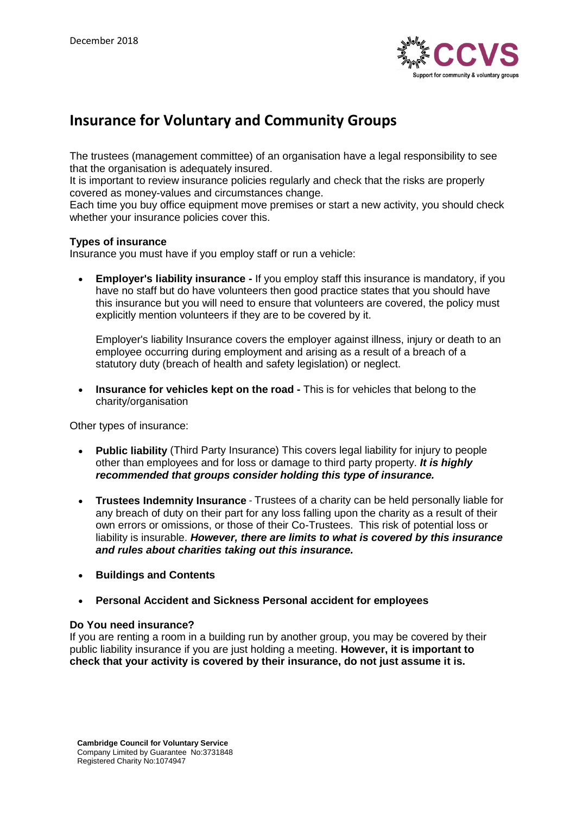

# **Insurance for Voluntary and Community Groups**

The trustees (management committee) of an organisation have a legal responsibility to see that the organisation is adequately insured.

It is important to review insurance policies regularly and check that the risks are properly covered as money-values and circumstances change.

Each time you buy office equipment move premises or start a new activity, you should check whether your insurance policies cover this.

#### **Types of insurance**

Insurance you must have if you employ staff or run a vehicle:

• **Employer's liability insurance -** If you employ staff this insurance is mandatory, if you have no staff but do have volunteers then good practice states that you should have this insurance but you will need to ensure that volunteers are covered, the policy must explicitly mention volunteers if they are to be covered by it.

Employer's liability Insurance covers the employer against illness, injury or death to an employee occurring during employment and arising as a result of a breach of a statutory duty (breach of health and safety legislation) or neglect.

• **Insurance for vehicles kept on the road -** This is for vehicles that belong to the charity/organisation

Other types of insurance:

- **Public liability** (Third Party Insurance) This covers legal liability for injury to people other than employees and for loss or damage to third party property. *It is highly recommended that groups consider holding this type of insurance.*
- **Trustees Indemnity Insurance** Trustees of a charity can be held personally liable for any breach of duty on their part for any loss falling upon the charity as a result of their own errors or omissions, or those of their Co-Trustees. This risk of potential loss or liability is insurable. *However, there are limits to what is covered by this insurance and rules about charities taking out this insurance.*
- **Buildings and Contents**
- **Personal Accident and Sickness Personal accident for employees**

#### **Do You need insurance?**

If you are renting a room in a building run by another group, you may be covered by their public liability insurance if you are just holding a meeting. **However, it is important to check that your activity is covered by their insurance, do not just assume it is.**